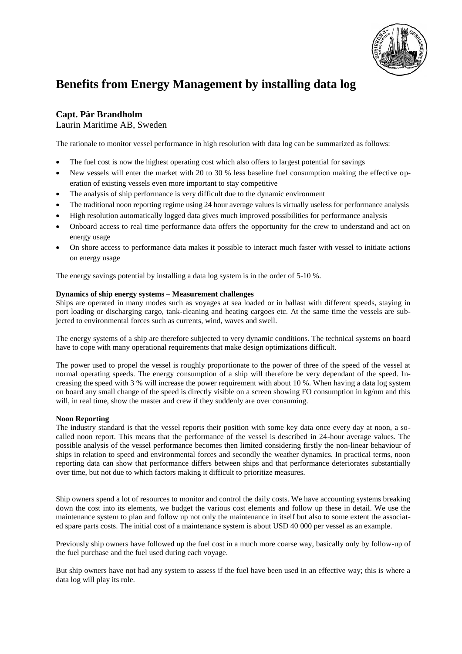

# **Benefits from Energy Management by installing data log**

## **Capt. Pär Brandholm**

## Laurin Maritime AB, Sweden

The rationale to monitor vessel performance in high resolution with data log can be summarized as follows:

- The fuel cost is now the highest operating cost which also offers to largest potential for savings
- New vessels will enter the market with 20 to 30 % less baseline fuel consumption making the effective operation of existing vessels even more important to stay competitive
- The analysis of ship performance is very difficult due to the dynamic environment
- The traditional noon reporting regime using 24 hour average values is virtually useless for performance analysis
- High resolution automatically logged data gives much improved possibilities for performance analysis
- Onboard access to real time performance data offers the opportunity for the crew to understand and act on energy usage
- On shore access to performance data makes it possible to interact much faster with vessel to initiate actions on energy usage

The energy savings potential by installing a data log system is in the order of 5-10 %.

### **Dynamics of ship energy systems – Measurement challenges**

Ships are operated in many modes such as voyages at sea loaded or in ballast with different speeds, staying in port loading or discharging cargo, tank-cleaning and heating cargoes etc. At the same time the vessels are subjected to environmental forces such as currents, wind, waves and swell.

The energy systems of a ship are therefore subjected to very dynamic conditions. The technical systems on board have to cope with many operational requirements that make design optimizations difficult.

The power used to propel the vessel is roughly proportionate to the power of three of the speed of the vessel at normal operating speeds. The energy consumption of a ship will therefore be very dependant of the speed. Increasing the speed with 3 % will increase the power requirement with about 10 %. When having a data log system on board any small change of the speed is directly visible on a screen showing FO consumption in kg/nm and this will, in real time, show the master and crew if they suddenly are over consuming.

### **Noon Reporting**

The industry standard is that the vessel reports their position with some key data once every day at noon, a socalled noon report. This means that the performance of the vessel is described in 24-hour average values. The possible analysis of the vessel performance becomes then limited considering firstly the non-linear behaviour of ships in relation to speed and environmental forces and secondly the weather dynamics. In practical terms, noon reporting data can show that performance differs between ships and that performance deteriorates substantially over time, but not due to which factors making it difficult to prioritize measures.

Ship owners spend a lot of resources to monitor and control the daily costs. We have accounting systems breaking down the cost into its elements, we budget the various cost elements and follow up these in detail. We use the maintenance system to plan and follow up not only the maintenance in itself but also to some extent the associated spare parts costs. The initial cost of a maintenance system is about USD 40 000 per vessel as an example.

Previously ship owners have followed up the fuel cost in a much more coarse way, basically only by follow-up of the fuel purchase and the fuel used during each voyage.

But ship owners have not had any system to assess if the fuel have been used in an effective way; this is where a data log will play its role.